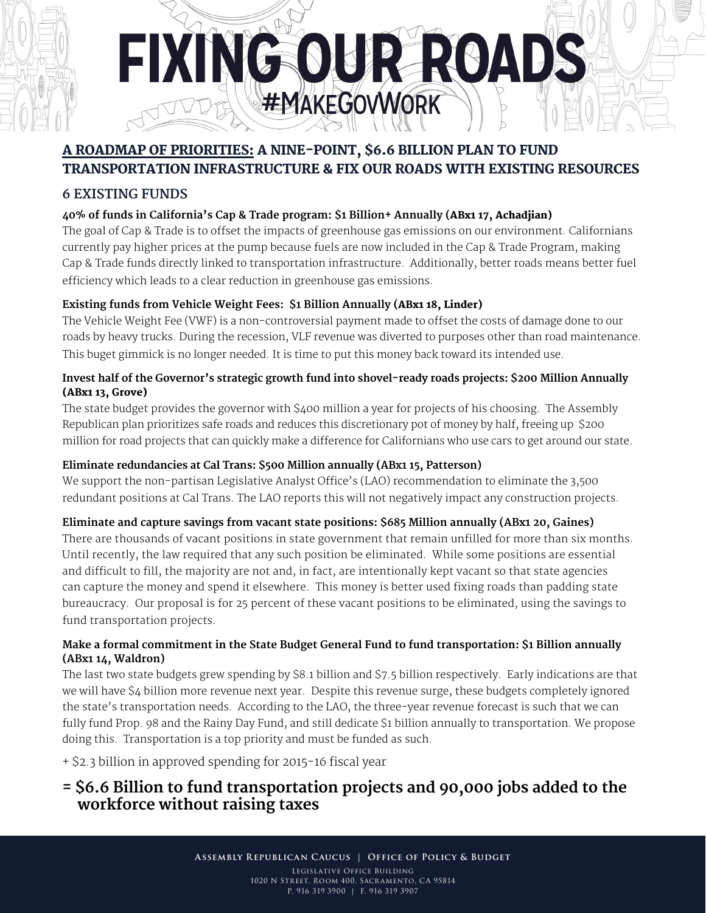

# A roadmap of priorities: A NINE-point, \$6.6 BILLION PLAN to fund transportation infrastructure & fix our roads with existing resources

# **6 existing funds**

## **40% of funds in California's Cap & Trade program: \$1 Billion+ Annually (**ABx1 17, Achadjian)

The goal of Cap & Trade is to offset the impacts of greenhouse gas emissions on our environment. Californians currently pay higher prices at the pump because fuels are now included in the Cap & Trade Program, making Cap & Trade funds directly linked to transportation infrastructure. Additionally, better roads means better fuel efficiency which leads to a clear reduction in greenhouse gas emissions.

## **Existing funds from Vehicle Weight Fees: \$1 Billion Annually (**ABx1 18, Linder)

The Vehicle Weight Fee (VWF) is a non-controversial payment made to offset the costs of damage done to our roads by heavy trucks. During the recession, VLF revenue was diverted to purposes other than road maintenance. This buget gimmick is no longer needed. It is time to put this money back toward its intended use.

#### **Invest half of the Governor's strategic growth fund into shovel-ready roads projects: \$200 Million Annually**  (ABx1 13, Grove)

The state budget provides the governor with \$400 million a year for projects of his choosing. The Assembly Republican plan prioritizes safe roads and reduces this discretionary pot of money by half, freeing up \$200 million for road projects that can quickly make a difference for Californians who use cars to get around our state.

## **Eliminate redundancies at Cal Trans: \$500 Million annually (ABx1 15, Patterson)**

We support the non-partisan Legislative Analyst Office's (LAO) recommendation to eliminate the 3,500 redundant positions at Cal Trans. The LAO reports this will not negatively impact any construction projects.

# **Eliminate and capture savings from vacant state positions: \$685 Million annually (ABx1 20, Gaines)**

There are thousands of vacant positions in state government that remain unfilled for more than six months. Until recently, the law required that any such position be eliminated. While some positions are essential and difficult to fill, the majority are not and, in fact, are intentionally kept vacant so that state agencies can capture the money and spend it elsewhere. This money is better used fixing roads than padding state bureaucracy. Our proposal is for 25 percent of these vacant positions to be eliminated, using the savings to fund transportation projects.

#### **Make a formal commitment in the State Budget General Fund to fund transportation: \$1 Billion annually (ABx1 14, Waldron)**

The last two state budgets grew spending by \$8.1 billion and \$7.5 billion respectively. Early indications are that we will have \$4 billion more revenue next year. Despite this revenue surge, these budgets completely ignored the state's transportation needs. According to the LAO, the three-year revenue forecast is such that we can fully fund Prop. 98 and the Rainy Day Fund, and still dedicate \$1 billion annually to transportation. We propose doing this. Transportation is a top priority and must be funded as such.

+ \$2.3 billion in approved spending for 2015-16 fiscal year

# **= \$6.6 Billion to fund transportation projects and 90,000 jobs added to the workforce without raising taxes**